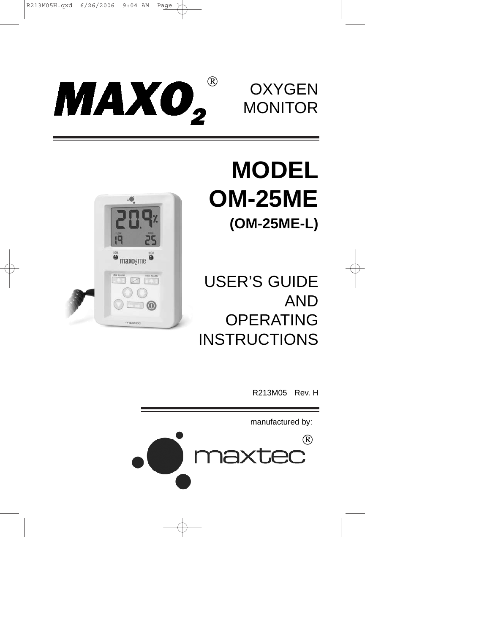**OXYGEN** MONITOR

# $\left( \widehat{R}\right)$ MAXO,

 $\bullet$  maxo<sub>i</sub>me  $\begin{array}{c} \hbox{\tiny\it MERALAB}\\ \hline \end{array}$  $\circ$ mexter

# **MODEL OM-25ME (OM-25ME-L)**

USER'S GUIDE AND OPERATING **INSTRUCTIONS** 

R213M05 Rev. H

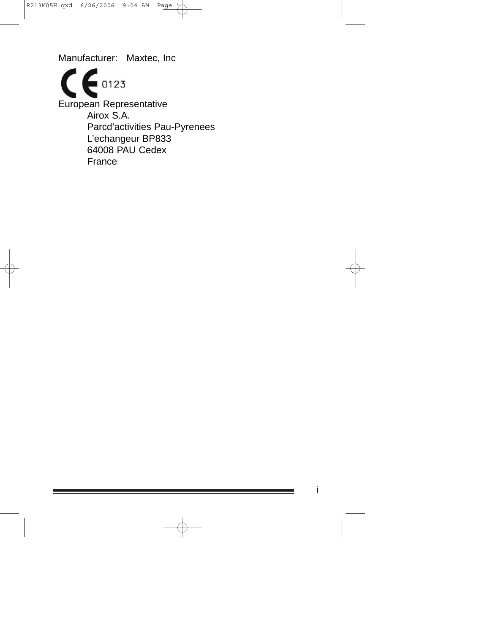Manufacturer: Maxtec, Inc. European Representative Airox S.A. Parcd'activities Pau-Pyrenees L'echangeur BP833 64008 PAU Cedex France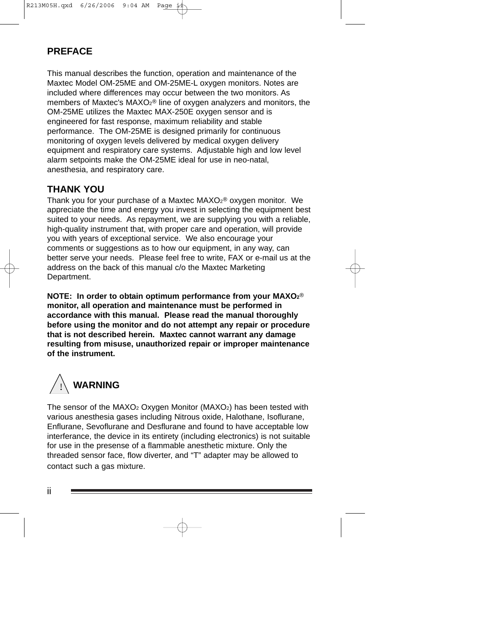### **PREFACE**

This manual describes the function, operation and maintenance of the Maxtec Model OM-25ME and OM-25ME-L oxygen monitors. Notes are included where differences may occur between the two monitors. As members of Maxtec's  $MAXO<sub>2</sub>®$  line of oxygen analyzers and monitors, the OM-25ME utilizes the Maxtec MAX-250E oxygen sensor and is engineered for fast response, maximum reliability and stable performance. The OM-25ME is designed primarily for continuous monitoring of oxygen levels delivered by medical oxygen delivery equipment and respiratory care systems. Adjustable high and low level alarm setpoints make the OM-25ME ideal for use in neo-natal, anesthesia, and respiratory care.

#### **THANK YOU**

Thank you for your purchase of a Maxtec  $MAXO<sub>2</sub>®$  oxygen monitor. We appreciate the time and energy you invest in selecting the equipment best suited to your needs. As repayment, we are supplying you with a reliable, high-quality instrument that, with proper care and operation, will provide you with years of exceptional service. We also encourage your comments or suggestions as to how our equipment, in any way, can better serve your needs. Please feel free to write, FAX or e-mail us at the address on the back of this manual c/o the Maxtec Marketing Department.

**NOTE: In order to obtain optimum performance from your MAXO2<sup>®</sup> monitor, all operation and maintenance must be performed in accordance with this manual. Please read the manual thoroughly before using the monitor and do not attempt any repair or procedure that is not described herein. Maxtec cannot warrant any damage resulting from misuse, unauthorized repair or improper maintenance of the instrument.** 



The sensor of the MAXO<sub>2</sub> Oxygen Monitor (MAXO<sub>2</sub>) has been tested with various anesthesia gases including Nitrous oxide, Halothane, Isoflurane, Enflurane, Sevoflurane and Desflurane and found to have acceptable low interferance, the device in its entirety (including electronics) is not suitable for use in the presense of a flammable anesthetic mixture. Only the threaded sensor face, flow diverter, and "T" adapter may be allowed to contact such a gas mixture.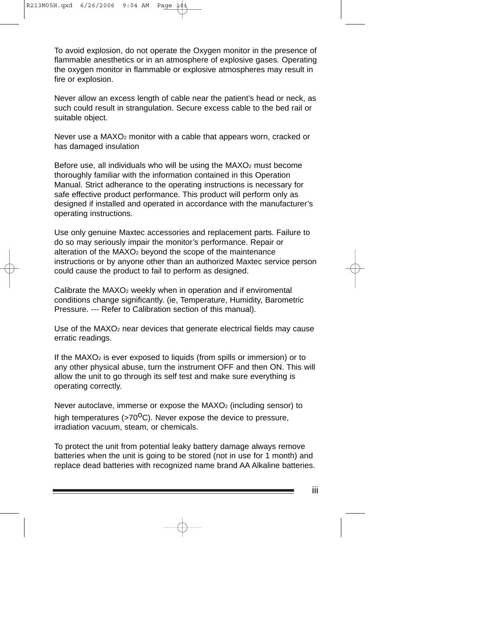To avoid explosion, do not operate the Oxygen monitor in the presence of flammable anesthetics or in an atmosphere of explosive gases. Operating the oxygen monitor in flammable or explosive atmospheres may result in fire or explosion.

Never allow an excess length of cable near the patient's head or neck, as such could result in strangulation. Secure excess cable to the bed rail or suitable object.

Never use a MAXO<sub>2</sub> monitor with a cable that appears worn, cracked or has damaged insulation

Before use, all individuals who will be using the  $MAXO<sub>2</sub>$  must become thoroughly familiar with the information contained in this Operation Manual. Strict adherance to the operating instructions is necessary for safe effective product performance. This product will perform only as designed if installed and operated in accordance with the manufacturer's operating instructions.

Use only genuine Maxtec accessories and replacement parts. Failure to do so may seriously impair the monitor's performance. Repair or alteration of the MAXO<sub>2</sub> beyond the scope of the maintenance instructions or by anyone other than an authorized Maxtec service person could cause the product to fail to perform as designed.

Calibrate the MAXO<sub>2</sub> weekly when in operation and if enviromental conditions change significantly. (ie, Temperature, Humidity, Barometric Pressure. --- Refer to Calibration section of this manual).

Use of the  $MAXO<sub>2</sub>$  near devices that generate electrical fields may cause erratic readings.

If the MAXO<sub>2</sub> is ever exposed to liquids (from spills or immersion) or to any other physical abuse, turn the instrument OFF and then ON. This will allow the unit to go through its self test and make sure everything is operating correctly.

Never autoclave, immerse or expose the MAXO<sub>2</sub> (including sensor) to high temperatures ( $>70^{\circ}$ C). Never expose the device to pressure, irradiation vacuum, steam, or chemicals.

To protect the unit from potential leaky battery damage always remove batteries when the unit is going to be stored (not in use for 1 month) and replace dead batteries with recognized name brand AA Alkaline batteries.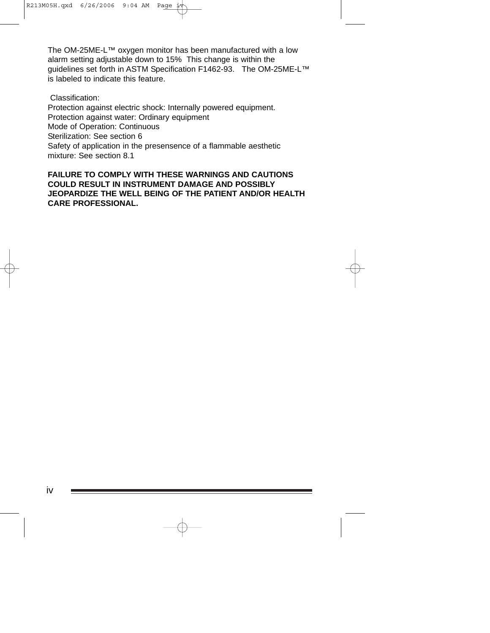The OM-25ME-L™ oxygen monitor has been manufactured with a low alarm setting adjustable down to 15% This change is within the quidelines set forth in ASTM Specification F1462-93. The OM-25ME-L™ is labeled to indicate this feature.

Classification:

Protection against electric shock: Internally powered equipment. Protection against water: Ordinary equipment Mode of Operation: Continuous Sterilization: See section 6 Safety of application in the presensence of a flammable aesthetic mixture: See section 8.1

#### **FAILURE TO COMPLY WITH THESE WARNINGS AND CAUTIONS COULD RESULT IN INSTRUMENT DAMAGE AND POSSIBLY JEOPARDIZE THE WELL BEING OF THE PATIENT AND/OR HEALTH CARE PROFESSIONAL.**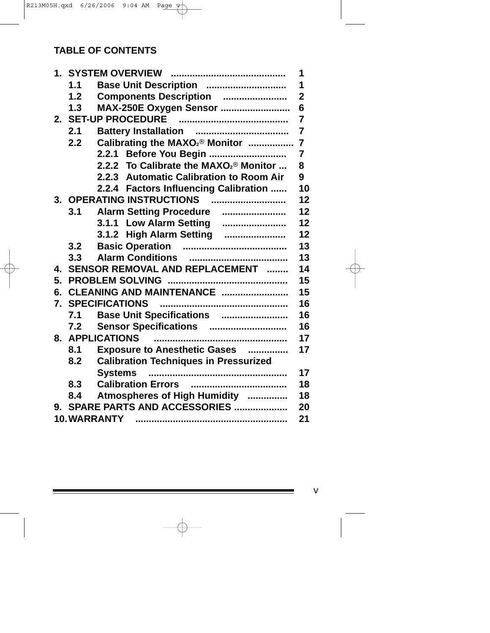#### **TABLE OF CONTENTS**

|    |                                                     | 1               |  |
|----|-----------------------------------------------------|-----------------|--|
|    | Base Unit Description<br>1.1                        | 1               |  |
|    | Components Description<br>1.2                       | $\overline{2}$  |  |
|    | MAX-250E Oxygen Sensor<br>1.3                       | $6\phantom{1}6$ |  |
| 2. | <b>SET-UP PROCEDURE</b>                             | $\overline{7}$  |  |
|    | 2.1                                                 | $\overline{7}$  |  |
|    | Calibrating the MAXO <sub>2®</sub> Monitor<br>2.2   | $\overline{7}$  |  |
|    | Before You Begin<br>2.2.1                           | $\overline{7}$  |  |
|    | 2.2.2 To Calibrate the MAXO <sub>2</sub> ® Monitor  | 8               |  |
|    | 2.2.3 Automatic Calibration to Room Air             | 9               |  |
|    | <b>Factors Influencing Calibration </b><br>2.2.4    | 10              |  |
| 3. | OPERATING INSTRUCTIONS                              | 12              |  |
|    | <b>Alarm Setting Procedure</b><br>3.1<br>           | 12              |  |
|    | 3.1.1 Low Alarm Setting<br>                         | 12              |  |
|    | 3.1.2 High Alarm Setting                            | 12              |  |
|    | 3.2<br><b>Basic Operation</b><br>                   | 13              |  |
|    | 3.3                                                 | 13              |  |
| 4. | <b>SENSOR REMOVAL AND REPLACEMENT</b><br>.          | 14              |  |
| 5. |                                                     | 15              |  |
| 6. | CLEANING AND MAINTENANCE                            | 15<br>16        |  |
| 7. | <b>SPECIFICATIONS</b>                               |                 |  |
|    | Base Unit Specifications<br>7.1                     | 16              |  |
|    | Sensor Specifications<br>7.2                        | 16              |  |
| 8. | <b>APPLICATIONS</b>                                 | 17              |  |
|    | <b>Exposure to Anesthetic Gases</b><br>8.1<br>      | 17              |  |
|    | <b>Calibration Techniques in Pressurized</b><br>8.2 |                 |  |
|    | <b>Systems</b>                                      | 17              |  |
|    | <b>Calibration Errors</b><br>8.3<br>                | 18              |  |
|    | Atmospheres of High Humidity<br>8.4                 | 18              |  |
| 9. | SPARE PARTS AND ACCESSORIES                         | 20              |  |
|    | <b>10. WARRANTY</b>                                 | 21              |  |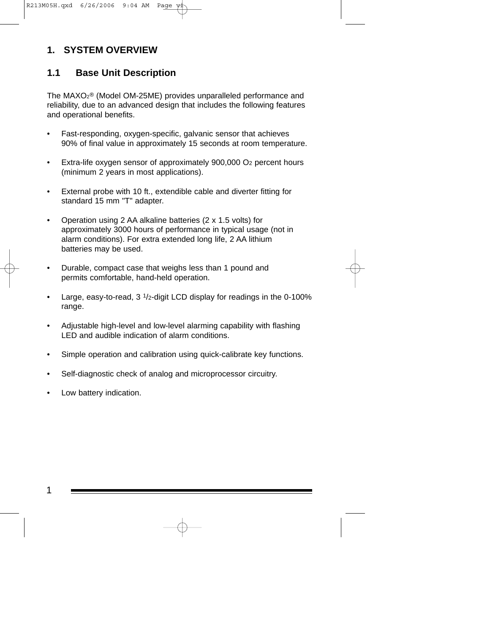#### **1. SYSTEM OVERVIEW**

#### **1.1 Base Unit Description**

The MAXO2< (Model OM-25ME) provides unparalleled performance and reliability, due to an advanced design that includes the following features and operational benefits.

- Fast-responding, oxygen-specific, galvanic sensor that achieves 90% of final value in approximately 15 seconds at room temperature.
- Extra-life oxygen sensor of approximately 900,000 O2 percent hours (minimum 2 years in most applications).
- External probe with 10 ft., extendible cable and diverter fitting for standard 15 mm "T" adapter.
- Operation using 2 AA alkaline batteries (2 x 1.5 volts) for approximately 3000 hours of performance in typical usage (not in alarm conditions). For extra extended long life, 2 AA lithium batteries may be used.
- Durable, compact case that weighs less than 1 pound and permits comfortable, hand-held operation.
- Large, easy-to-read, 3 1/2-digit LCD display for readings in the 0-100% range.
- Adjustable high-level and low-level alarming capability with flashing LED and audible indication of alarm conditions.
- Simple operation and calibration using quick-calibrate key functions.
- Self-diagnostic check of analog and microprocessor circuitry.
- Low battery indication.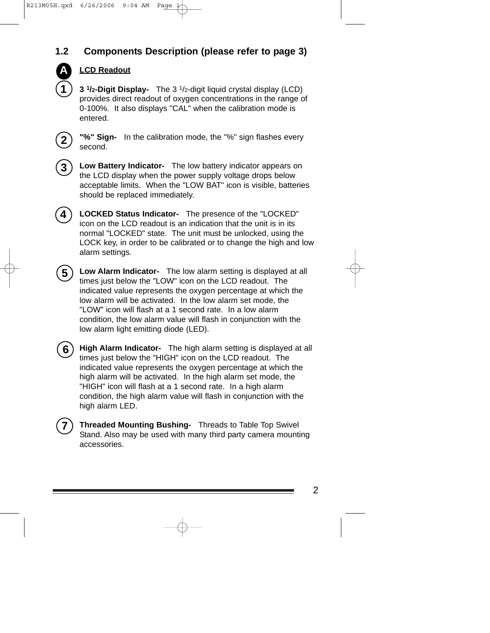# **1.2 Components Description (please refer to page 3)**



#### **LCD Readout**

**3 1/2-Digit Display-** The 3 1/2-digit liquid crystal display (LCD) provides direct readout of oxygen concentrations in the range of 0-100%. It also displays "CAL" when the calibration mode is entered.



**"%" Sign-** In the calibration mode, the "%" sign flashes every second.



**4**

**Low Battery Indicator-** The low battery indicator appears on the LCD display when the power supply voltage drops below acceptable limits. When the "LOW BAT" icon is visible, batteries should be replaced immediately.

**LOCKED Status Indicator-** The presence of the "LOCKED" icon on the LCD readout is an indication that the unit is in its normal "LOCKED" state. The unit must be unlocked, using the LOCK key, in order to be calibrated or to change the high and low alarm settings.

**Low Alarm Indicator-** The low alarm setting is displayed at all times just below the "LOW" icon on the LCD readout. The indicated value represents the oxygen percentage at which the low alarm will be activated. In the low alarm set mode, the "LOW" icon will flash at a 1 second rate. In a low alarm condition, the low alarm value will flash in conjunction with the low alarm light emitting diode (LED). **5**

**High Alarm Indicator-** The high alarm setting is displayed at all times just below the "HIGH" icon on the LCD readout. The indicated value represents the oxygen percentage at which the high alarm will be activated. In the high alarm set mode, the "HIGH" icon will flash at a 1 second rate. In a high alarm condition, the high alarm value will flash in conjunction with the high alarm LED. **6**

**Threaded Mounting Bushing-** Threads to Table Top Swivel Stand. Also may be used with many third party camera mounting accessories. **7**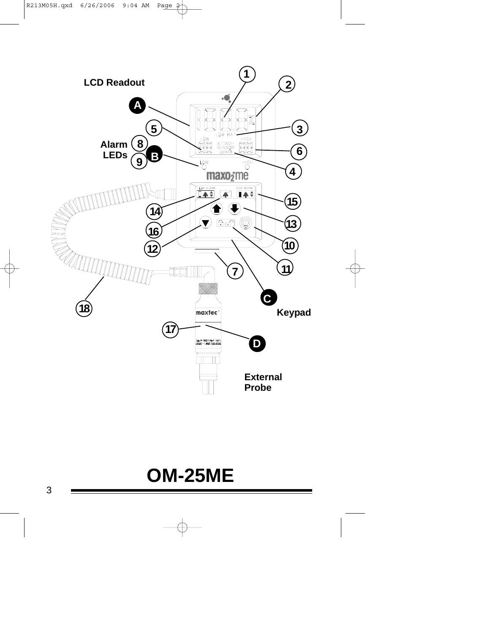

# **OM-25ME**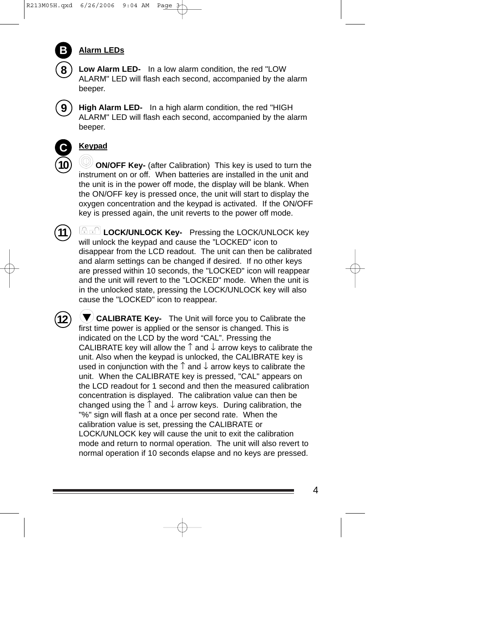

#### **Alarm LEDs**



**Low Alarm LED-** In a low alarm condition, the red "LOW ALARM" LED will flash each second, accompanied by the alarm beeper.

**High Alarm LED-** In a high alarm condition, the red "HIGH ALARM" LED will flash each second, accompanied by the alarm beeper. **9**



#### **Keypad**

**ON/OFF Key-** (after Calibration) This key is used to turn the instrument on or off. When batteries are installed in the unit and the unit is in the power off mode, the display will be blank. When the ON/OFF key is pressed once, the unit will start to display the oxygen concentration and the keypad is activated. If the ON/OFF key is pressed again, the unit reverts to the power off mode.

**AD** LOCK/UNLOCK Key- Pressing the LOCK/UNLOCK key will unlock the keypad and cause the "LOCKED" icon to disappear from the LCD readout. The unit can then be calibrated and alarm settings can be changed if desired. If no other keys are pressed within 10 seconds, the "LOCKED" icon will reappear and the unit will revert to the "LOCKED" mode. When the unit is in the unlocked state, pressing the LOCK/UNLOCK key will also cause the "LOCKED" icon to reappear. **11**



**CALIBRATE Key-** The Unit will force you to Calibrate the first time power is applied or the sensor is changed. This is indicated on the LCD by the word "CAL". Pressing the CALIBRATE key will allow the  $\uparrow$  and  $\downarrow$  arrow keys to calibrate the unit. Also when the keypad is unlocked, the CALIBRATE key is used in conjunction with the  $\uparrow$  and  $\downarrow$  arrow keys to calibrate the unit. When the CALIBRATE key is pressed, "CAL" appears on the LCD readout for 1 second and then the measured calibration concentration is displayed. The calibration value can then be changed using the  $\uparrow$  and  $\downarrow$  arrow keys. During calibration, the "%" sign will flash at a once per second rate. When the calibration value is set, pressing the CALIBRATE or LOCK/UNLOCK key will cause the unit to exit the calibration mode and return to normal operation. The unit will also revert to normal operation if 10 seconds elapse and no keys are pressed.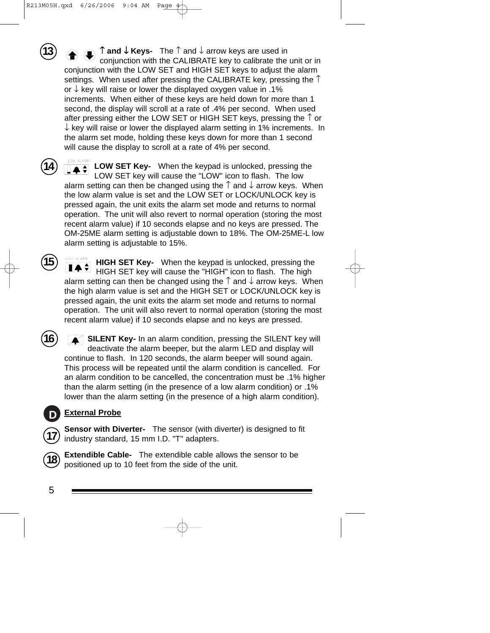↑ **and** ↓ **Keys-** The ↑ and ↓ arrow keys are used in conjunction with the CALIBRATE key to calibrate the unit or in conjunction with the LOW SET and HIGH SET keys to adjust the alarm settings. When used after pressing the CALIBRATE key, pressing the  $\uparrow$ or  $\downarrow$  key will raise or lower the displayed oxygen value in .1% increments. When either of these keys are held down for more than 1 second, the display will scroll at a rate of .4% per second. When used after pressing either the LOW SET or HIGH SET keys, pressing the ↑ or  $\downarrow$  key will raise or lower the displayed alarm setting in 1% increments. In the alarm set mode, holding these keys down for more than 1 second will cause the display to scroll at a rate of 4% per second.

L.W ALARM **LOW SET Key-** When the keypad is unlocked, pressing the **14** LOW SET key will cause the "LOW" icon to flash. The low alarm setting can then be changed using the  $\uparrow$  and  $\downarrow$  arrow keys. When the low alarm value is set and the LOW SET or LOCK/UNLOCK key is pressed again, the unit exits the alarm set mode and returns to normal operation. The unit will also revert to normal operation (storing the most recent alarm value) if 10 seconds elapse and no keys are pressed. The OM-25ME alarm setting is adjustable down to 18%. The OM-25ME-L low alarm setting is adjustable to 15%.

HIGH ALARM **HIGH SET Key-** When the keypad is unlocked, pressing the  $\blacktriangleright$  HIGH SET key will cause the "HIGH" icon to flash. The high alarm setting can then be changed using the  $\uparrow$  and  $\downarrow$  arrow keys. When the high alarm value is set and the HIGH SET or LOCK/UNLOCK key is pressed again, the unit exits the alarm set mode and returns to normal operation. The unit will also revert to normal operation (storing the most recent alarm value) if 10 seconds elapse and no keys are pressed.

**16**

**15**

**13**

**SILENT Key-** In an alarm condition, pressing the SILENT key will deactivate the alarm beeper, but the alarm LED and display will continue to flash. In 120 seconds, the alarm beeper will sound again. This process will be repeated until the alarm condition is cancelled. For an alarm condition to be cancelled, the concentration must be .1% higher than the alarm setting (in the presence of a low alarm condition) or .1% lower than the alarm setting (in the presence of a high alarm condition).

#### **External Probe**

**Sensor with Diverter-** The sensor (with diverter) is designed to fit industry standard, 15 mm I.D. "T" adapters.



**D**

**17**

**Extendible Cable-** The extendible cable allows the sensor to be positioned up to 10 feet from the side of the unit.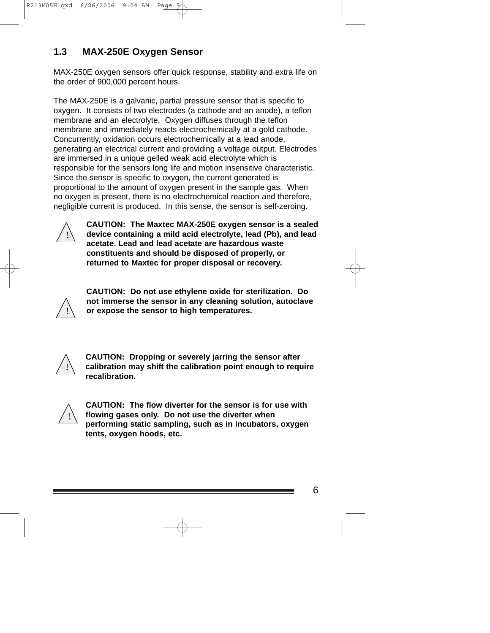### **1.3 MAX-250E Oxygen Sensor**

MAX-250E oxygen sensors offer quick response, stability and extra life on the order of 900,000 percent hours.

The MAX-250E is a galvanic, partial pressure sensor that is specific to oxygen. It consists of two electrodes (a cathode and an anode), a teflon membrane and an electrolyte. Oxygen diffuses through the teflon membrane and immediately reacts electrochemically at a gold cathode. Concurrently, oxidation occurs electrochemically at a lead anode, generating an electrical current and providing a voltage output. Electrodes are immersed in a unique gelled weak acid electrolyte which is responsible for the sensors long life and motion insensitive characteristic. Since the sensor is specific to oxygen, the current generated is proportional to the amount of oxygen present in the sample gas. When no oxygen is present, there is no electrochemical reaction and therefore, negligible current is produced. In this sense, the sensor is self-zeroing.



**CAUTION: The Maxtec MAX-250E oxygen sensor is a sealed device containing a mild acid electrolyte, lead (Pb), and lead acetate. Lead and lead acetate are hazardous waste constituents and should be disposed of properly, or returned to Maxtec for proper disposal or recovery.** 



**CAUTION: Do not use ethylene oxide for sterilization. Do not immerse the sensor in any cleaning solution, autoclave or expose the sensor to high temperatures.** 



**CAUTION: Dropping or severely jarring the sensor after calibration may shift the calibration point enough to require recalibration.**



**CAUTION: The flow diverter for the sensor is for use with flowing gases only. Do not use the diverter when performing static sampling, such as in incubators, oxygen tents, oxygen hoods, etc.**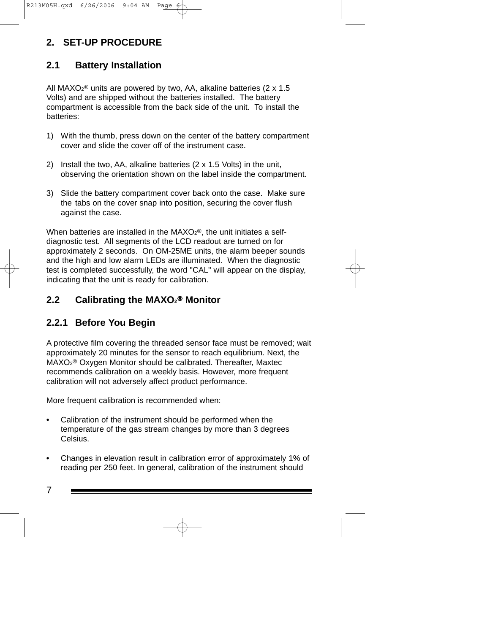# **2. SET-UP PROCEDURE**

#### **2.1 Battery Installation**

All MAXO<sub>2</sub><sup>®</sup> units are powered by two, AA, alkaline batteries (2 x 1.5) Volts) and are shipped without the batteries installed. The battery compartment is accessible from the back side of the unit. To install the batteries:

- 1) With the thumb, press down on the center of the battery compartment cover and slide the cover off of the instrument case.
- 2) Install the two, AA, alkaline batteries (2 x 1.5 Volts) in the unit, observing the orientation shown on the label inside the compartment.
- 3) Slide the battery compartment cover back onto the case. Make sure the tabs on the cover snap into position, securing the cover flush against the case.

When batteries are installed in the  $MAXO<sub>2</sub><sup>®</sup>$ , the unit initiates a selfdiagnostic test. All segments of the LCD readout are turned on for approximately 2 seconds. On OM-25ME units, the alarm beeper sounds and the high and low alarm LEDs are illuminated. When the diagnostic test is completed successfully, the word "CAL" will appear on the display, indicating that the unit is ready for calibration.

#### **2.2 Calibrating the MAXO2**< **Monitor**

# **2.2.1 Before You Begin**

A protective film covering the threaded sensor face must be removed; wait approximately 20 minutes for the sensor to reach equilibrium. Next, the MAXO<sub>2</sub><sup>®</sup> Oxygen Monitor should be calibrated. Thereafter, Maxtec recommends calibration on a weekly basis. However, more frequent calibration will not adversely affect product performance.

More frequent calibration is recommended when:

- **•** Calibration of the instrument should be performed when the temperature of the gas stream changes by more than 3 degrees Celsius.
- **•** Changes in elevation result in calibration error of approximately 1% of reading per 250 feet. In general, calibration of the instrument should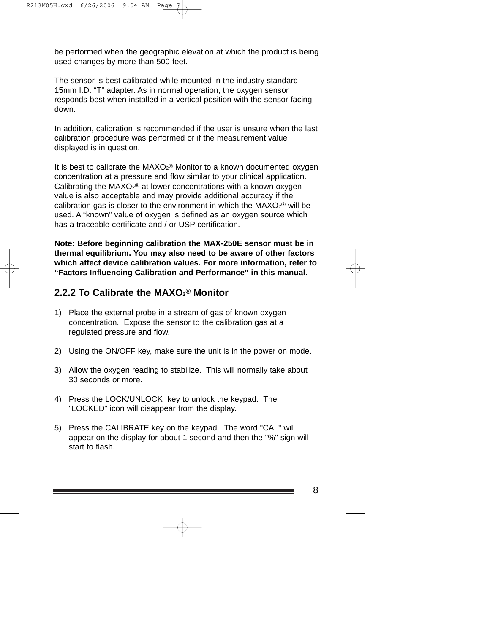be performed when the geographic elevation at which the product is being used changes by more than 500 feet.

The sensor is best calibrated while mounted in the industry standard, 15mm I.D. "T" adapter. As in normal operation, the oxygen sensor responds best when installed in a vertical position with the sensor facing down.

In addition, calibration is recommended if the user is unsure when the last calibration procedure was performed or if the measurement value displayed is in question.

It is best to calibrate the  $MAXO<sub>2</sub>®$  Monitor to a known documented oxygen concentration at a pressure and flow similar to your clinical application. Calibrating the  $MAXO<sub>2</sub>®$  at lower concentrations with a known oxygen value is also acceptable and may provide additional accuracy if the calibration gas is closer to the environment in which the  $MAXO<sub>2</sub>®$  will be used. A "known" value of oxygen is defined as an oxygen source which has a traceable certificate and / or USP certification.

**Note: Before beginning calibration the MAX-250E sensor must be in thermal equilibrium. You may also need to be aware of other factors which affect device calibration values. For more information, refer to "Factors Influencing Calibration and Performance" in this manual.**

#### **2.2.2 To Calibrate the MAXO2**< **Monitor**

- 1) Place the external probe in a stream of gas of known oxygen concentration. Expose the sensor to the calibration gas at a regulated pressure and flow.
- 2) Using the ON/OFF key, make sure the unit is in the power on mode.
- 3) Allow the oxygen reading to stabilize. This will normally take about 30 seconds or more.
- 4) Press the LOCK/UNLOCK key to unlock the keypad. The "LOCKED" icon will disappear from the display.
- 5) Press the CALIBRATE key on the keypad. The word "CAL" will appear on the display for about 1 second and then the "%" sign will start to flash.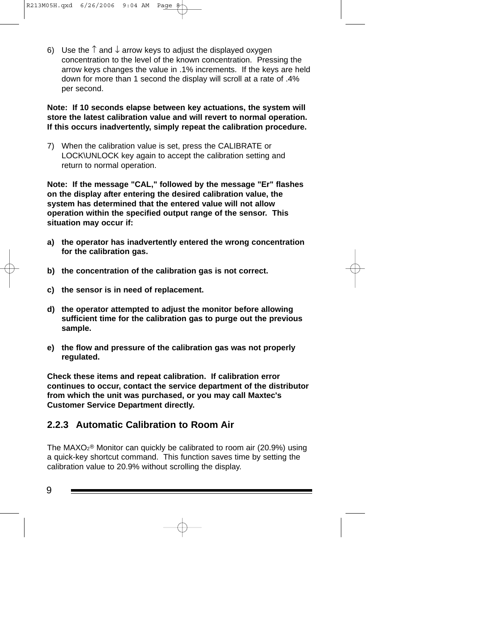6) Use the  $\uparrow$  and  $\downarrow$  arrow keys to adjust the displayed oxygen concentration to the level of the known concentration. Pressing the arrow keys changes the value in .1% increments. If the keys are held down for more than 1 second the display will scroll at a rate of .4% per second.

#### **Note: If 10 seconds elapse between key actuations, the system will store the latest calibration value and will revert to normal operation. If this occurs inadvertently, simply repeat the calibration procedure.**

7) When the calibration value is set, press the CALIBRATE or LOCK\UNLOCK key again to accept the calibration setting and return to normal operation.

**Note: If the message "CAL," followed by the message "Er" flashes on the display after entering the desired calibration value, the system has determined that the entered value will not allow operation within the specified output range of the sensor. This situation may occur if:**

- **a) the operator has inadvertently entered the wrong concentration for the calibration gas.**
- **b) the concentration of the calibration gas is not correct.**
- **c) the sensor is in need of replacement.**
- **d) the operator attempted to adjust the monitor before allowing sufficient time for the calibration gas to purge out the previous sample.**
- **e) the flow and pressure of the calibration gas was not properly regulated.**

**Check these items and repeat calibration. If calibration error continues to occur, contact the service department of the distributor from which the unit was purchased, or you may call Maxtec's Customer Service Department directly.** 

#### **2.2.3 Automatic Calibration to Room Air**

The MAXO $2^{\circ}$  Monitor can quickly be calibrated to room air (20.9%) using a quick-key shortcut command. This function saves time by setting the calibration value to 20.9% without scrolling the display.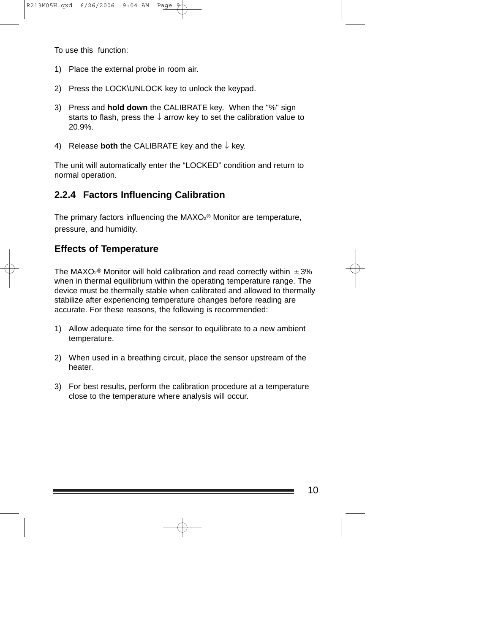To use this function:

- 1) Place the external probe in room air.
- 2) Press the LOCK\UNLOCK key to unlock the keypad.
- 3) Press and **hold down** the CALIBRATE key. When the "%" sign starts to flash, press the  $\downarrow$  arrow key to set the calibration value to 20.9%.
- 4) Release **both** the CALIBRATE key and the ↓ key.

The unit will automatically enter the "LOCKED" condition and return to normal operation.

#### **2.2.4 Factors Influencing Calibration**

The primary factors influencing the  $MAXO<sub>2</sub>®$  Monitor are temperature, pressure, and humidity.

#### **Effects of Temperature**

The MAXO<sub>2</sub><sup>®</sup> Monitor will hold calibration and read correctly within  $\pm 3\%$ when in thermal equilibrium within the operating temperature range. The device must be thermally stable when calibrated and allowed to thermally stabilize after experiencing temperature changes before reading are accurate. For these reasons, the following is recommended:

- 1) Allow adequate time for the sensor to equilibrate to a new ambient temperature.
- 2) When used in a breathing circuit, place the sensor upstream of the heater.
- 3) For best results, perform the calibration procedure at a temperature close to the temperature where analysis will occur.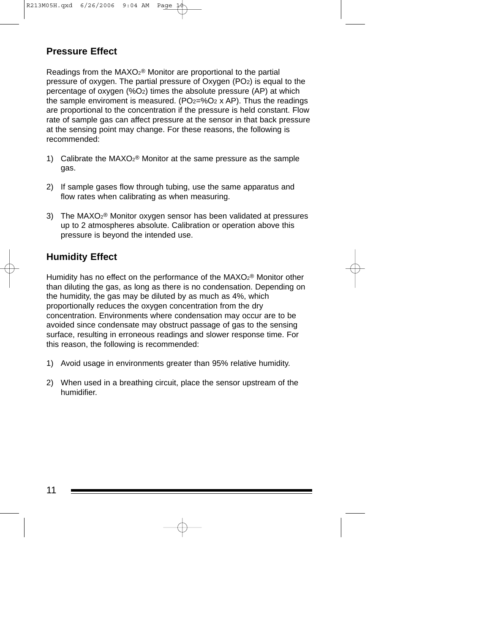#### **Pressure Effect**

Readings from the  $MAXO<sub>2</sub>®$  Monitor are proportional to the partial pressure of oxygen. The partial pressure of Oxygen (PO2) is equal to the percentage of oxygen (%O2) times the absolute pressure (AP) at which the sample enviroment is measured. (PO $2=$ %O $2 \times$  AP). Thus the readings are proportional to the concentration if the pressure is held constant. Flow rate of sample gas can affect pressure at the sensor in that back pressure at the sensing point may change. For these reasons, the following is recommended:

- 1) Calibrate the  $MAXO<sub>2</sub>®$  Monitor at the same pressure as the sample gas.
- 2) If sample gases flow through tubing, use the same apparatus and flow rates when calibrating as when measuring.
- 3) The MAXO $2^{\circledR}$  Monitor oxygen sensor has been validated at pressures up to 2 atmospheres absolute. Calibration or operation above this pressure is beyond the intended use.

#### **Humidity Effect**

Humidity has no effect on the performance of the MAXO<sub>2</sub>® Monitor other than diluting the gas, as long as there is no condensation. Depending on the humidity, the gas may be diluted by as much as 4%, which proportionally reduces the oxygen concentration from the dry concentration. Environments where condensation may occur are to be avoided since condensate may obstruct passage of gas to the sensing surface, resulting in erroneous readings and slower response time. For this reason, the following is recommended:

- 1) Avoid usage in environments greater than 95% relative humidity.
- 2) When used in a breathing circuit, place the sensor upstream of the humidifier.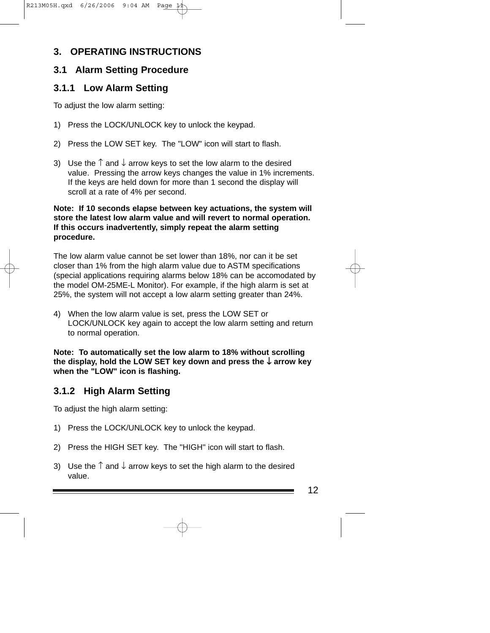### **3. OPERATING INSTRUCTIONS**

#### **3.1 Alarm Setting Procedure**

#### **3.1.1 Low Alarm Setting**

To adjust the low alarm setting:

- 1) Press the LOCK/UNLOCK key to unlock the keypad.
- 2) Press the LOW SET key. The "LOW" icon will start to flash.
- 3) Use the  $\uparrow$  and  $\downarrow$  arrow keys to set the low alarm to the desired value. Pressing the arrow keys changes the value in 1% increments. If the keys are held down for more than 1 second the display will scroll at a rate of 4% per second.

#### **Note: If 10 seconds elapse between key actuations, the system will store the latest low alarm value and will revert to normal operation. If this occurs inadvertently, simply repeat the alarm setting procedure.**

The low alarm value cannot be set lower than 18%, nor can it be set closer than 1% from the high alarm value due to ASTM specifications (special applications requiring alarms below 18% can be accomodated by the model OM-25ME-L Monitor). For example, if the high alarm is set at 25%, the system will not accept a low alarm setting greater than 24%.

4) When the low alarm value is set, press the LOW SET or LOCK/UNLOCK key again to accept the low alarm setting and return to normal operation.

**Note: To automatically set the low alarm to 18% without scrolling the display, hold the LOW SET key down and press the** ↓ **arrow key when the "LOW" icon is flashing.**

#### **3.1.2 High Alarm Setting**

To adjust the high alarm setting:

- 1) Press the LOCK/UNLOCK key to unlock the keypad.
- 2) Press the HIGH SET key. The "HIGH" icon will start to flash.
- 3) Use the  $\uparrow$  and  $\downarrow$  arrow keys to set the high alarm to the desired value.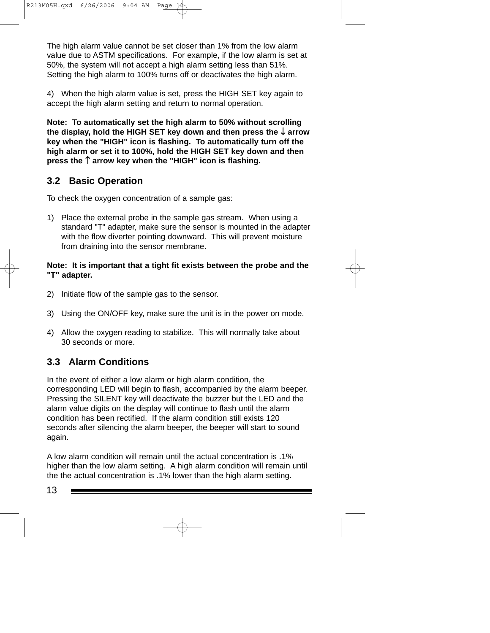The high alarm value cannot be set closer than 1% from the low alarm value due to ASTM specifications. For example, if the low alarm is set at 50%, the system will not accept a high alarm setting less than 51%. Setting the high alarm to 100% turns off or deactivates the high alarm.

4) When the high alarm value is set, press the HIGH SET key again to accept the high alarm setting and return to normal operation.

**Note: To automatically set the high alarm to 50% without scrolling the display, hold the HIGH SET key down and then press the** ↓ **arrow key when the "HIGH" icon is flashing. To automatically turn off the high alarm or set it to 100%, hold the HIGH SET key down and then press the** ↑ **arrow key when the "HIGH" icon is flashing.**

#### **3.2 Basic Operation**

To check the oxygen concentration of a sample gas:

1) Place the external probe in the sample gas stream. When using a standard "T" adapter, make sure the sensor is mounted in the adapter with the flow diverter pointing downward. This will prevent moisture from draining into the sensor membrane.

#### **Note: It is important that a tight fit exists between the probe and the "T" adapter.**

- 2) Initiate flow of the sample gas to the sensor.
- 3) Using the ON/OFF key, make sure the unit is in the power on mode.
- 4) Allow the oxygen reading to stabilize. This will normally take about 30 seconds or more.

#### **3.3 Alarm Conditions**

In the event of either a low alarm or high alarm condition, the corresponding LED will begin to flash, accompanied by the alarm beeper. Pressing the SILENT key will deactivate the buzzer but the LED and the alarm value digits on the display will continue to flash until the alarm condition has been rectified. If the alarm condition still exists 120 seconds after silencing the alarm beeper, the beeper will start to sound again.

A low alarm condition will remain until the actual concentration is .1% higher than the low alarm setting. A high alarm condition will remain until the the actual concentration is .1% lower than the high alarm setting.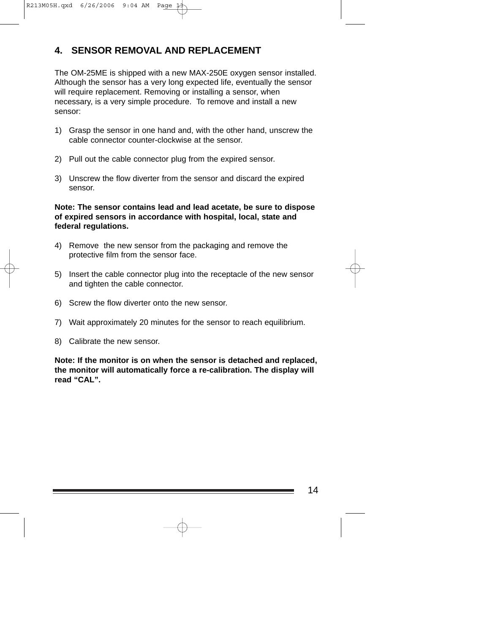#### **4. SENSOR REMOVAL AND REPLACEMENT**

The OM-25ME is shipped with a new MAX-250E oxygen sensor installed. Although the sensor has a very long expected life, eventually the sensor will require replacement. Removing or installing a sensor, when necessary, is a very simple procedure. To remove and install a new sensor:

- 1) Grasp the sensor in one hand and, with the other hand, unscrew the cable connector counter-clockwise at the sensor.
- 2) Pull out the cable connector plug from the expired sensor.
- 3) Unscrew the flow diverter from the sensor and discard the expired sensor.

#### **Note: The sensor contains lead and lead acetate, be sure to dispose of expired sensors in accordance with hospital, local, state and federal regulations.**

- 4) Remove the new sensor from the packaging and remove the protective film from the sensor face.
- 5) Insert the cable connector plug into the receptacle of the new sensor and tighten the cable connector.
- 6) Screw the flow diverter onto the new sensor.
- 7) Wait approximately 20 minutes for the sensor to reach equilibrium.
- 8) Calibrate the new sensor.

**Note: If the monitor is on when the sensor is detached and replaced, the monitor will automatically force a re-calibration. The display will read "CAL".**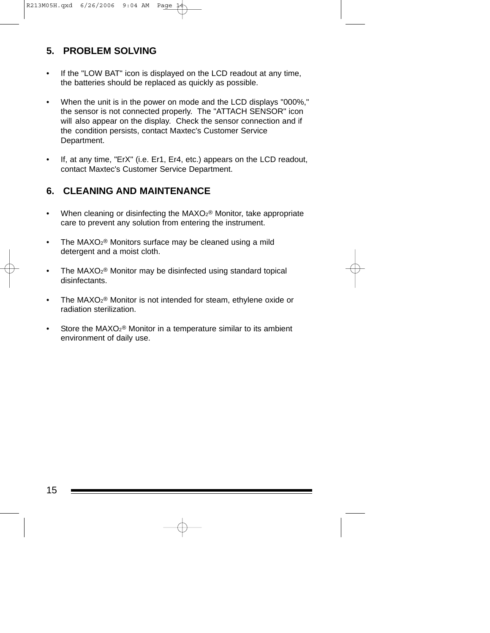#### **5. PROBLEM SOLVING**

- If the "LOW BAT" icon is displayed on the LCD readout at any time, the batteries should be replaced as quickly as possible.
- When the unit is in the power on mode and the LCD displays "000%," the sensor is not connected properly. The "ATTACH SENSOR" icon will also appear on the display. Check the sensor connection and if the condition persists, contact Maxtec's Customer Service Department.
- If, at any time, "ErX" (i.e. Er1, Er4, etc.) appears on the LCD readout, contact Maxtec's Customer Service Department.

#### **6. CLEANING AND MAINTENANCE**

- When cleaning or disinfecting the  $MAXO<sub>2</sub>®$  Monitor, take appropriate care to prevent any solution from entering the instrument.
- The  $MAXO<sub>2</sub>®$  Monitors surface may be cleaned using a mild detergent and a moist cloth.
- The MAXO $2^{\circ}$  Monitor may be disinfected using standard topical disinfectants.
- The  $MAXO<sub>2</sub>®$  Monitor is not intended for steam, ethylene oxide or radiation sterilization.
- Store the MAXO $2^{\circ}$  Monitor in a temperature similar to its ambient environment of daily use.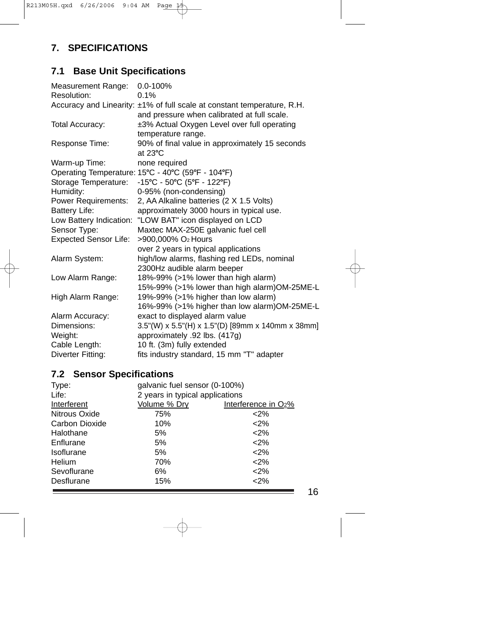# **7. SPECIFICATIONS**

# **7.1 Base Unit Specifications**

| <b>Measurement Range:</b>    | $0.0 - 100\%$                                                                                                          |
|------------------------------|------------------------------------------------------------------------------------------------------------------------|
| Resolution:                  | 0.1%                                                                                                                   |
|                              | Accuracy and Linearity: ±1% of full scale at constant temperature, R.H.<br>and pressure when calibrated at full scale. |
| Total Accuracy:              | ±3% Actual Oxygen Level over full operating<br>temperature range.                                                      |
| Response Time:               | 90% of final value in approximately 15 seconds<br>at $23^{\circ}$ C                                                    |
| Warm-up Time:                | none required                                                                                                          |
|                              | Operating Temperature: 15°C - 40°C (59°F - 104°F)                                                                      |
| Storage Temperature:         | -15°C - 50°C (5°F - 122°F)                                                                                             |
| Humidity:                    | 0-95% (non-condensing)                                                                                                 |
| <b>Power Requirements:</b>   | 2, AA Alkaline batteries (2 X 1.5 Volts)                                                                               |
| <b>Battery Life:</b>         | approximately 3000 hours in typical use.                                                                               |
| Low Battery Indication:      | "LOW BAT" icon displayed on LCD                                                                                        |
| Sensor Type:                 | Maxtec MAX-250E galvanic fuel cell                                                                                     |
| <b>Expected Sensor Life:</b> | >900,000% O2 Hours                                                                                                     |
|                              | over 2 years in typical applications                                                                                   |
| Alarm System:                | high/low alarms, flashing red LEDs, nominal                                                                            |
|                              | 2300Hz audible alarm beeper                                                                                            |
| Low Alarm Range:             | 18%-99% (>1% lower than high alarm)                                                                                    |
|                              | 15%-99% (>1% lower than high alarm) OM-25ME-L                                                                          |
| High Alarm Range:            | 19%-99% (>1% higher than low alarm)                                                                                    |
|                              | 16%-99% (>1% higher than low alarm) OM-25ME-L                                                                          |
| Alarm Accuracy:              | exact to displayed alarm value                                                                                         |
| Dimensions:                  | 3.5"(W) x 5.5"(H) x 1.5"(D) [89mm x 140mm x 38mm]                                                                      |
| Weight:                      | approximately .92 lbs. (417g)                                                                                          |
| Cable Length:                | 10 ft. (3m) fully extended                                                                                             |
| <b>Diverter Fitting:</b>     | fits industry standard, 15 mm "T" adapter                                                                              |

# **7.2 Sensor Specifications**

| 2 years in typical applications |                               |  |  |
|---------------------------------|-------------------------------|--|--|
| Volume % Dry                    | Interference in $O2%$         |  |  |
| 75%                             | $<$ 2%                        |  |  |
| 10%                             | $2\%$                         |  |  |
| 5%                              | $<$ 2%                        |  |  |
| 5%                              | $2\%$                         |  |  |
| 5%                              | $2\%$                         |  |  |
| 70%                             | $2\%$                         |  |  |
| 6%                              | $<$ 2%                        |  |  |
| 15%                             | $<$ 2%                        |  |  |
|                                 | galvanic fuel sensor (0-100%) |  |  |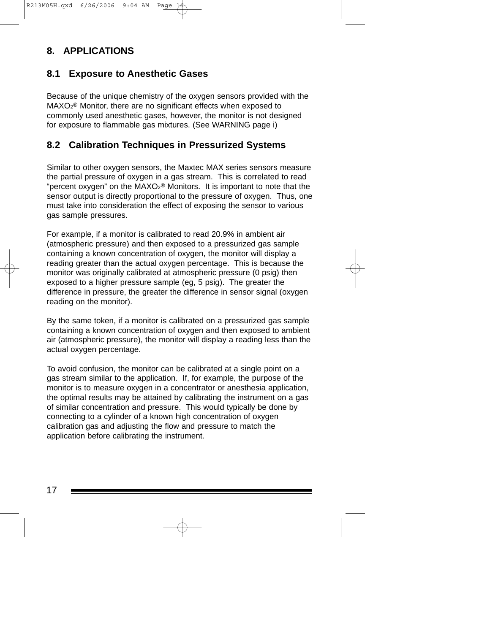#### **8. APPLICATIONS**

#### **8.1 Exposure to Anesthetic Gases**

Because of the unique chemistry of the oxygen sensors provided with the MAXO<sub>2</sub><sup>®</sup> Monitor, there are no significant effects when exposed to commonly used anesthetic gases, however, the monitor is not designed for exposure to flammable gas mixtures. (See WARNING page i)

#### **8.2 Calibration Techniques in Pressurized Systems**

Similar to other oxygen sensors, the Maxtec MAX series sensors measure the partial pressure of oxygen in a gas stream. This is correlated to read "percent oxygen" on the  $MAXO<sub>2</sub>®$  Monitors. It is important to note that the sensor output is directly proportional to the pressure of oxygen. Thus, one must take into consideration the effect of exposing the sensor to various gas sample pressures.

For example, if a monitor is calibrated to read 20.9% in ambient air (atmospheric pressure) and then exposed to a pressurized gas sample containing a known concentration of oxygen, the monitor will display a reading greater than the actual oxygen percentage. This is because the monitor was originally calibrated at atmospheric pressure (0 psig) then exposed to a higher pressure sample (eg, 5 psig). The greater the difference in pressure, the greater the difference in sensor signal (oxygen reading on the monitor).

By the same token, if a monitor is calibrated on a pressurized gas sample containing a known concentration of oxygen and then exposed to ambient air (atmospheric pressure), the monitor will display a reading less than the actual oxygen percentage.

To avoid confusion, the monitor can be calibrated at a single point on a gas stream similar to the application. If, for example, the purpose of the monitor is to measure oxygen in a concentrator or anesthesia application, the optimal results may be attained by calibrating the instrument on a gas of similar concentration and pressure. This would typically be done by connecting to a cylinder of a known high concentration of oxygen calibration gas and adjusting the flow and pressure to match the application before calibrating the instrument.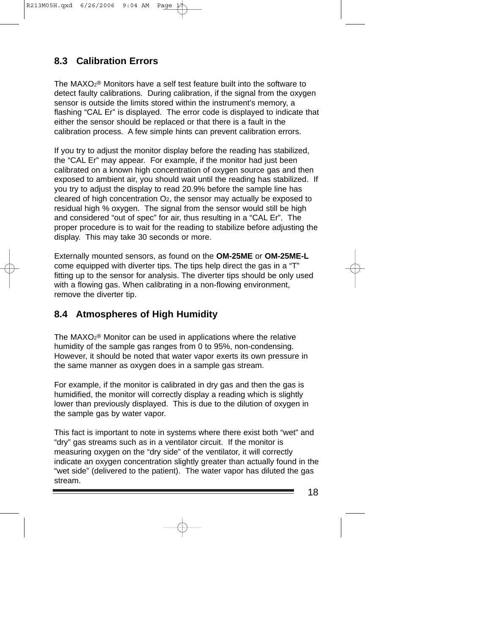#### **8.3 Calibration Errors**

The  $MAXO<sub>2</sub>®$  Monitors have a self test feature built into the software to detect faulty calibrations. During calibration, if the signal from the oxygen sensor is outside the limits stored within the instrument's memory, a flashing "CAL Er" is displayed. The error code is displayed to indicate that either the sensor should be replaced or that there is a fault in the calibration process. A few simple hints can prevent calibration errors.

If you try to adjust the monitor display before the reading has stabilized, the "CAL Er" may appear. For example, if the monitor had just been calibrated on a known high concentration of oxygen source gas and then exposed to ambient air, you should wait until the reading has stabilized. If you try to adjust the display to read 20.9% before the sample line has cleared of high concentration O2, the sensor may actually be exposed to residual high % oxygen. The signal from the sensor would still be high and considered "out of spec" for air, thus resulting in a "CAL Er". The proper procedure is to wait for the reading to stabilize before adjusting the display. This may take 30 seconds or more.

Externally mounted sensors, as found on the **OM-25ME** or **OM-25ME-L** come equipped with diverter tips. The tips help direct the gas in a "T" fitting up to the sensor for analysis. The diverter tips should be only used with a flowing gas. When calibrating in a non-flowing environment, remove the diverter tip.

#### **8.4 Atmospheres of High Humidity**

The  $MAXO<sub>2</sub>®$  Monitor can be used in applications where the relative humidity of the sample gas ranges from 0 to 95%, non-condensing. However, it should be noted that water vapor exerts its own pressure in the same manner as oxygen does in a sample gas stream.

For example, if the monitor is calibrated in dry gas and then the gas is humidified, the monitor will correctly display a reading which is slightly lower than previously displayed. This is due to the dilution of oxygen in the sample gas by water vapor.

This fact is important to note in systems where there exist both "wet" and "dry" gas streams such as in a ventilator circuit. If the monitor is measuring oxygen on the "dry side" of the ventilator, it will correctly indicate an oxygen concentration slightly greater than actually found in the "wet side" (delivered to the patient). The water vapor has diluted the gas stream.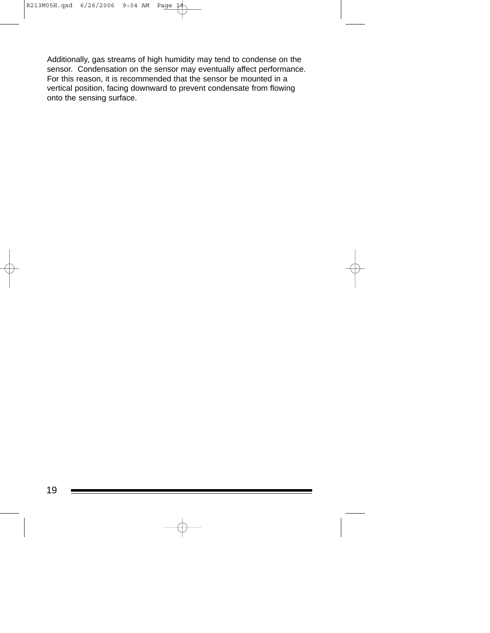Additionally, gas streams of high humidity may tend to condense on the sensor. Condensation on the sensor may eventually affect performance. For this reason, it is recommended that the sensor be mounted in a vertical position, facing downward to prevent condensate from flowing onto the sensing surface.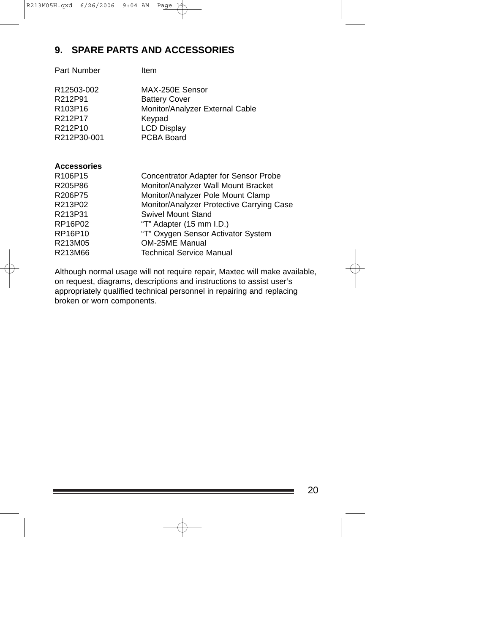#### **9. SPARE PARTS AND ACCESSORIES**

| Part Number                                                                                                                                    | <u>Item</u>                                                                                                                                                                                                                                                                                                        |
|------------------------------------------------------------------------------------------------------------------------------------------------|--------------------------------------------------------------------------------------------------------------------------------------------------------------------------------------------------------------------------------------------------------------------------------------------------------------------|
| R12503-002<br>R212P91<br>R <sub>103</sub> P <sub>16</sub><br>R212P17<br>R212P10<br>R212P30-001                                                 | MAX-250E Sensor<br><b>Battery Cover</b><br>Monitor/Analyzer External Cable<br>Keypad<br><b>LCD Display</b><br><b>PCBA Board</b>                                                                                                                                                                                    |
| <b>Accessories</b><br>R <sub>106</sub> P <sub>15</sub><br>R205P86<br>R206P75<br>R213P02<br>R213P31<br>RP16P02<br>RP16P10<br>R213M05<br>R213M66 | Concentrator Adapter for Sensor Probe<br>Monitor/Analyzer Wall Mount Bracket<br>Monitor/Analyzer Pole Mount Clamp<br>Monitor/Analyzer Protective Carrying Case<br>Swivel Mount Stand<br>"T" Adapter (15 mm I.D.)<br>"T" Oxygen Sensor Activator System<br><b>OM-25ME Manual</b><br><b>Technical Service Manual</b> |

Although normal usage will not require repair, Maxtec will make available, on request, diagrams, descriptions and instructions to assist user's appropriately qualified technical personnel in repairing and replacing broken or worn components.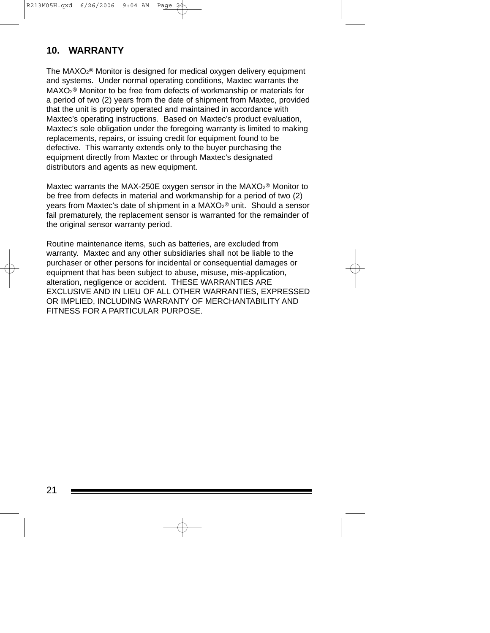#### **10. WARRANTY**

The  $MAXO<sub>2</sub>®$  Monitor is designed for medical oxygen delivery equipment and systems. Under normal operating conditions, Maxtec warrants the MAXO<sub>2</sub><sup>®</sup> Monitor to be free from defects of workmanship or materials for a period of two (2) years from the date of shipment from Maxtec, provided that the unit is properly operated and maintained in accordance with Maxtec's operating instructions. Based on Maxtec's product evaluation, Maxtec's sole obligation under the foregoing warranty is limited to making replacements, repairs, or issuing credit for equipment found to be defective. This warranty extends only to the buyer purchasing the equipment directly from Maxtec or through Maxtec's designated distributors and agents as new equipment.

Maxtec warrants the MAX-250E oxygen sensor in the MAXO<sub>2®</sub> Monitor to be free from defects in material and workmanship for a period of two (2) years from Maxtec's date of shipment in a MAXO<sub>2®</sub> unit. Should a sensor fail prematurely, the replacement sensor is warranted for the remainder of the original sensor warranty period.

Routine maintenance items, such as batteries, are excluded from warranty. Maxtec and any other subsidiaries shall not be liable to the purchaser or other persons for incidental or consequential damages or equipment that has been subject to abuse, misuse, mis-application, alteration, negligence or accident. THESE WARRANTIES ARE EXCLUSIVE AND IN LIEU OF ALL OTHER WARRANTIES, EXPRESSED OR IMPLIED, INCLUDING WARRANTY OF MERCHANTABILITY AND FITNESS FOR A PARTICULAR PURPOSE.